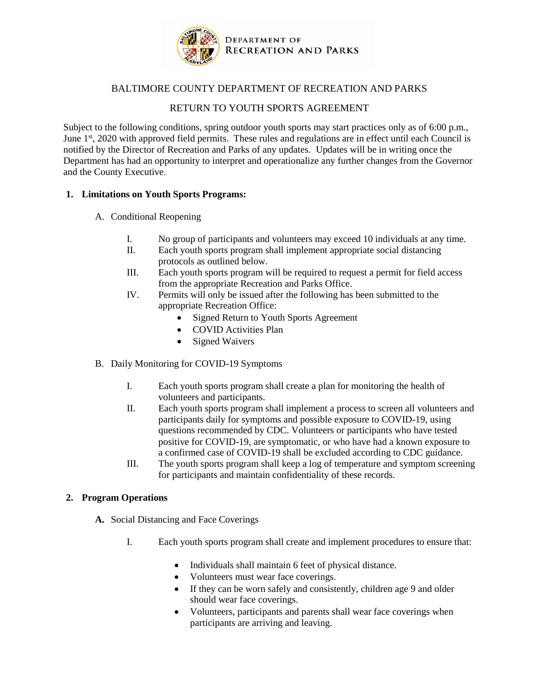

## BALTIMORE COUNTY DEPARTMENT OF RECREATION AND PARKS

## RETURN TO YOUTH SPORTS AGREEMENT

Subject to the following conditions, spring outdoor youth sports may start practices only as of 6:00 p.m., June 1<sup>st</sup>, 2020 with approved field permits. These rules and regulations are in effect until each Council is notified by the Director of Recreation and Parks of any updates. Updates will be in writing once the Department has had an opportunity to interpret and operationalize any further changes from the Governor and the County Executive.

## **1. Limitations on Youth Sports Programs:**

- A. Conditional Reopening
	- I. No group of participants and volunteers may exceed 10 individuals at any time.
	- II. Each youth sports program shall implement appropriate social distancing protocols as outlined below.
	- III. Each youth sports program will be required to request a permit for field access from the appropriate Recreation and Parks Office.
	- IV. Permits will only be issued after the following has been submitted to the appropriate Recreation Office:
		- Signed Return to Youth Sports Agreement
		- COVID Activities Plan
		- Signed Waivers
- B. Daily Monitoring for COVID-19 Symptoms
	- I. Each youth sports program shall create a plan for monitoring the health of volunteers and participants.
	- II. Each youth sports program shall implement a process to screen all volunteers and participants daily for symptoms and possible exposure to COVID-19, using questions recommended by CDC. Volunteers or participants who have tested positive for COVID-19, are symptomatic, or who have had a known exposure to a confirmed case of COVID-19 shall be excluded according to CDC guidance.
	- III. The youth sports program shall keep a log of temperature and symptom screening for participants and maintain confidentiality of these records.

## **2. Program Operations**

- **A.** Social Distancing and Face Coverings
	- I. Each youth sports program shall create and implement procedures to ensure that:
		- Individuals shall maintain 6 feet of physical distance.
		- Volunteers must wear face coverings.
		- If they can be worn safely and consistently, children age 9 and older should wear face coverings.
		- Volunteers, participants and parents shall wear face coverings when participants are arriving and leaving.